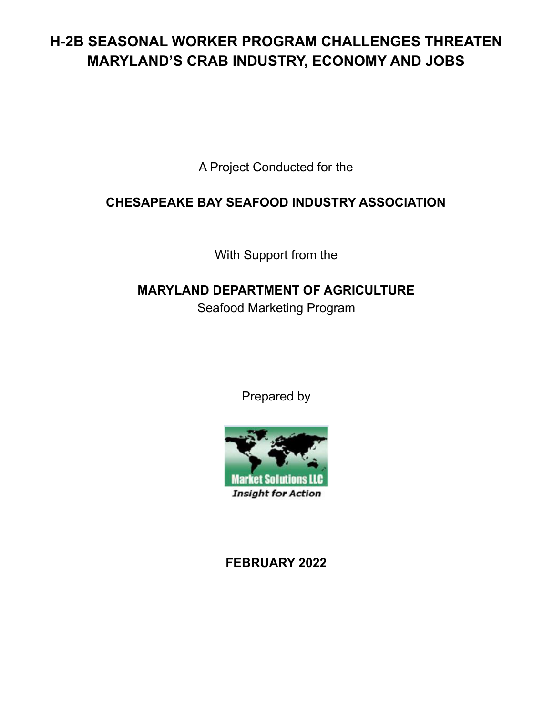### **H-2B SEASONAL WORKER PROGRAM CHALLENGES THREATEN MARYLAND'S CRAB INDUSTRY, ECONOMY AND JOBS**

A Project Conducted for the

#### **CHESAPEAKE BAY SEAFOOD INDUSTRY ASSOCIATION**

With Support from the

### **MARYLAND DEPARTMENT OF AGRICULTURE**

Seafood Marketing Program

Prepared by



**FEBRUARY 2022**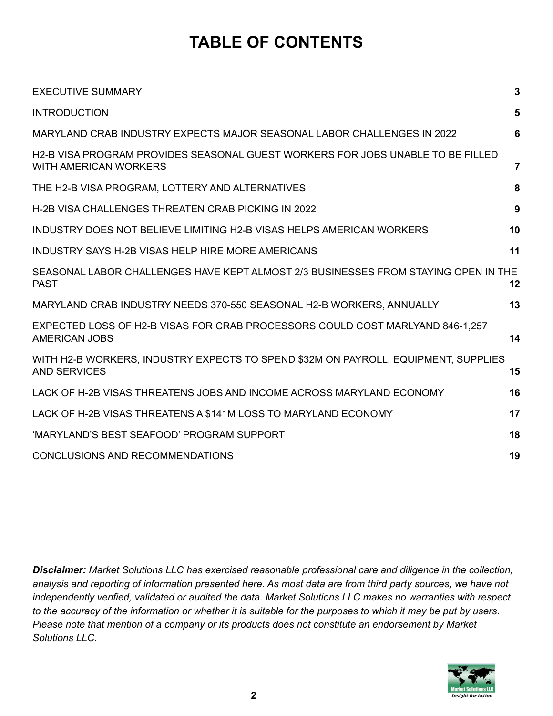### **TABLE OF CONTENTS**

| <b>EXECUTIVE SUMMARY</b>                                                                                       | 3              |
|----------------------------------------------------------------------------------------------------------------|----------------|
| <b>INTRODUCTION</b>                                                                                            | 5              |
| MARYLAND CRAB INDUSTRY EXPECTS MAJOR SEASONAL LABOR CHALLENGES IN 2022                                         | 6              |
| H2-B VISA PROGRAM PROVIDES SEASONAL GUEST WORKERS FOR JOBS UNABLE TO BE FILLED<br><b>WITH AMERICAN WORKERS</b> | $\overline{7}$ |
| THE H2-B VISA PROGRAM, LOTTERY AND ALTERNATIVES                                                                | 8              |
| H-2B VISA CHALLENGES THREATEN CRAB PICKING IN 2022                                                             | 9              |
| INDUSTRY DOES NOT BELIEVE LIMITING H2-B VISAS HELPS AMERICAN WORKERS                                           | 10             |
| INDUSTRY SAYS H-2B VISAS HELP HIRE MORE AMERICANS                                                              | 11             |
| SEASONAL LABOR CHALLENGES HAVE KEPT ALMOST 2/3 BUSINESSES FROM STAYING OPEN IN THE<br><b>PAST</b>              | 12             |
| MARYLAND CRAB INDUSTRY NEEDS 370-550 SEASONAL H2-B WORKERS, ANNUALLY                                           | 13             |
| EXPECTED LOSS OF H2-B VISAS FOR CRAB PROCESSORS COULD COST MARLYAND 846-1,257<br><b>AMERICAN JOBS</b>          | 14             |
| WITH H2-B WORKERS, INDUSTRY EXPECTS TO SPEND \$32M ON PAYROLL, EQUIPMENT, SUPPLIES<br><b>AND SERVICES</b>      | 15             |
| LACK OF H-2B VISAS THREATENS JOBS AND INCOME ACROSS MARYLAND ECONOMY                                           | 16             |
| LACK OF H-2B VISAS THREATENS A \$141M LOSS TO MARYLAND ECONOMY                                                 | 17             |
| 'MARYLAND'S BEST SEAFOOD' PROGRAM SUPPORT                                                                      | 18             |
| CONCLUSIONS AND RECOMMENDATIONS                                                                                | 19             |

*Disclaimer: Market Solutions LLC has exercised reasonable professional care and diligence in the collection,* analysis and reporting of information presented here. As most data are from third party sources, we have not *independently verified, validated or audited the data. Market Solutions LLC makes no warranties with respect* to the accuracy of the information or whether it is suitable for the purposes to which it may be put by users. *Please note that mention of a company or its products does not constitute an endorsement by Market Solutions LLC.*

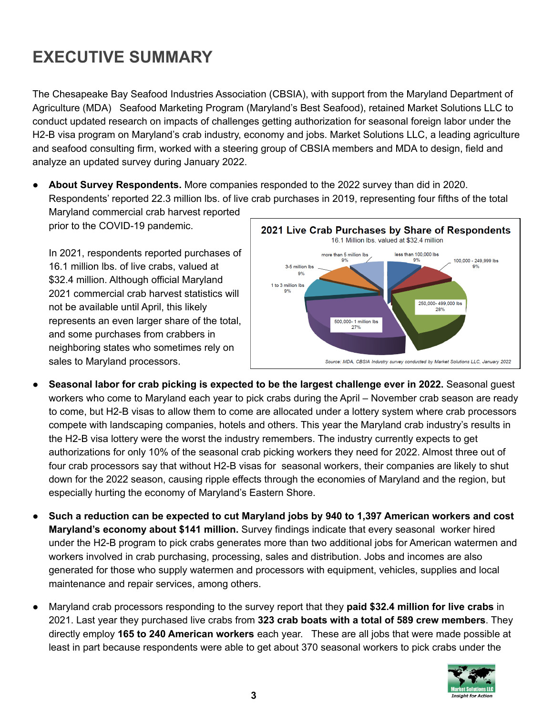## <span id="page-2-0"></span>**EXECUTIVE SUMMARY**

The Chesapeake Bay Seafood Industries Association (CBSIA), with support from the Maryland Department of Agriculture (MDA) Seafood Marketing Program (Maryland's Best Seafood), retained Market Solutions LLC to conduct updated research on impacts of challenges getting authorization for seasonal foreign labor under the H2-B visa program on Maryland's crab industry, economy and jobs. Market Solutions LLC, a leading agriculture and seafood consulting firm, worked with a steering group of CBSIA members and MDA to design, field and analyze an updated survey during January 2022.

● **About Survey Respondents.** More companies responded to the 2022 survey than did in 2020. Respondents' reported 22.3 million lbs. of live crab purchases in 2019, representing four fifths of the total

Maryland commercial crab harvest reported prior to the COVID-19 pandemic.

In 2021, respondents reported purchases of 16.1 million lbs. of live crabs, valued at \$32.4 million. Although official Maryland 2021 commercial crab harvest statistics will not be available until April, this likely represents an even larger share of the total, and some purchases from crabbers in neighboring states who sometimes rely on sales to Maryland processors.



- **Seasonal labor for crab picking is expected to be the largest challenge ever in 2022.** Seasonal guest workers who come to Maryland each year to pick crabs during the April – November crab season are ready to come, but H2-B visas to allow them to come are allocated under a lottery system where crab processors compete with landscaping companies, hotels and others. This year the Maryland crab industry's results in the H2-B visa lottery were the worst the industry remembers. The industry currently expects to get authorizations for only 10% of the seasonal crab picking workers they need for 2022. Almost three out of four crab processors say that without H2-B visas for seasonal workers, their companies are likely to shut down for the 2022 season, causing ripple effects through the economies of Maryland and the region, but especially hurting the economy of Maryland's Eastern Shore.
- **Such a reduction can be expected to cut Maryland jobs by 940 to 1,397 American workers and cost Maryland's economy about \$141 million.** Survey findings indicate that every seasonal worker hired under the H2-B program to pick crabs generates more than two additional jobs for American watermen and workers involved in crab purchasing, processing, sales and distribution. Jobs and incomes are also generated for those who supply watermen and processors with equipment, vehicles, supplies and local maintenance and repair services, among others.
- Maryland crab processors responding to the survey report that they **paid \$32.4 million for live crabs** in 2021. Last year they purchased live crabs from **323 crab boats with a total of 589 crew members**. They directly employ **165 to 240 American workers** each year. These are all jobs that were made possible at least in part because respondents were able to get about 370 seasonal workers to pick crabs under the

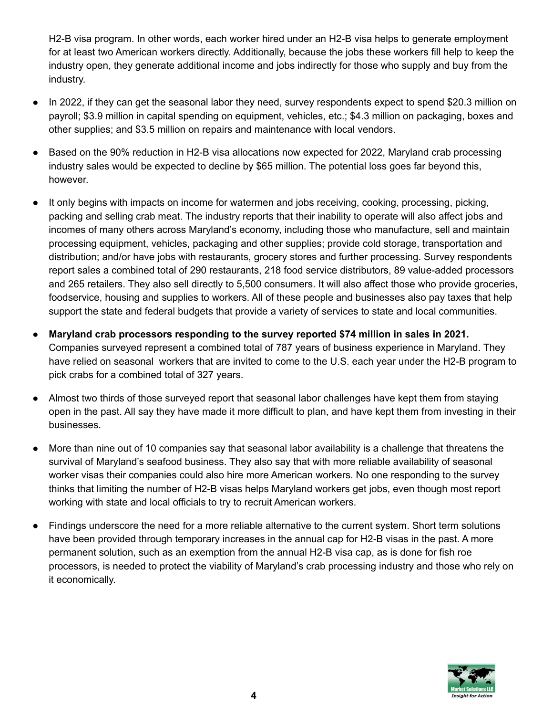H2-B visa program. In other words, each worker hired under an H2-B visa helps to generate employment for at least two American workers directly. Additionally, because the jobs these workers fill help to keep the industry open, they generate additional income and jobs indirectly for those who supply and buy from the industry.

- In 2022, if they can get the seasonal labor they need, survey respondents expect to spend \$20.3 million on payroll; \$3.9 million in capital spending on equipment, vehicles, etc.; \$4.3 million on packaging, boxes and other supplies; and \$3.5 million on repairs and maintenance with local vendors.
- Based on the 90% reduction in H2-B visa allocations now expected for 2022, Maryland crab processing industry sales would be expected to decline by \$65 million. The potential loss goes far beyond this, however.
- It only begins with impacts on income for watermen and jobs receiving, cooking, processing, picking, packing and selling crab meat. The industry reports that their inability to operate will also affect jobs and incomes of many others across Maryland's economy, including those who manufacture, sell and maintain processing equipment, vehicles, packaging and other supplies; provide cold storage, transportation and distribution; and/or have jobs with restaurants, grocery stores and further processing. Survey respondents report sales a combined total of 290 restaurants, 218 food service distributors, 89 value-added processors and 265 retailers. They also sell directly to 5,500 consumers. It will also affect those who provide groceries, foodservice, housing and supplies to workers. All of these people and businesses also pay taxes that help support the state and federal budgets that provide a variety of services to state and local communities.
- **Maryland crab processors responding to the survey reported \$74 million in sales in 2021.** Companies surveyed represent a combined total of 787 years of business experience in Maryland. They have relied on seasonal workers that are invited to come to the U.S. each year under the H2-B program to pick crabs for a combined total of 327 years.
- Almost two thirds of those surveyed report that seasonal labor challenges have kept them from staying open in the past. All say they have made it more difficult to plan, and have kept them from investing in their businesses.
- More than nine out of 10 companies say that seasonal labor availability is a challenge that threatens the survival of Maryland's seafood business. They also say that with more reliable availability of seasonal worker visas their companies could also hire more American workers. No one responding to the survey thinks that limiting the number of H2-B visas helps Maryland workers get jobs, even though most report working with state and local officials to try to recruit American workers.
- Findings underscore the need for a more reliable alternative to the current system. Short term solutions have been provided through temporary increases in the annual cap for H2-B visas in the past. A more permanent solution, such as an exemption from the annual H2-B visa cap, as is done for fish roe processors, is needed to protect the viability of Maryland's crab processing industry and those who rely on it economically.

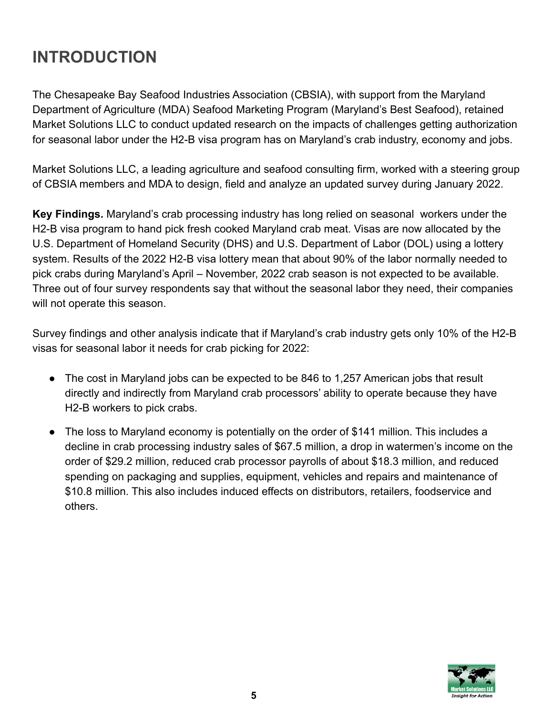## <span id="page-4-0"></span>**INTRODUCTION**

The Chesapeake Bay Seafood Industries Association (CBSIA), with support from the Maryland Department of Agriculture (MDA) Seafood Marketing Program (Maryland's Best Seafood), retained Market Solutions LLC to conduct updated research on the impacts of challenges getting authorization for seasonal labor under the H2-B visa program has on Maryland's crab industry, economy and jobs.

Market Solutions LLC, a leading agriculture and seafood consulting firm, worked with a steering group of CBSIA members and MDA to design, field and analyze an updated survey during January 2022.

**Key Findings.** Maryland's crab processing industry has long relied on seasonal workers under the H2-B visa program to hand pick fresh cooked Maryland crab meat. Visas are now allocated by the U.S. Department of Homeland Security (DHS) and U.S. Department of Labor (DOL) using a lottery system. Results of the 2022 H2-B visa lottery mean that about 90% of the labor normally needed to pick crabs during Maryland's April – November, 2022 crab season is not expected to be available. Three out of four survey respondents say that without the seasonal labor they need, their companies will not operate this season.

Survey findings and other analysis indicate that if Maryland's crab industry gets only 10% of the H2-B visas for seasonal labor it needs for crab picking for 2022:

- The cost in Maryland jobs can be expected to be 846 to 1,257 American jobs that result directly and indirectly from Maryland crab processors' ability to operate because they have H2-B workers to pick crabs.
- The loss to Maryland economy is potentially on the order of \$141 million. This includes a decline in crab processing industry sales of \$67.5 million, a drop in watermen's income on the order of \$29.2 million, reduced crab processor payrolls of about \$18.3 million, and reduced spending on packaging and supplies, equipment, vehicles and repairs and maintenance of \$10.8 million. This also includes induced effects on distributors, retailers, foodservice and others.

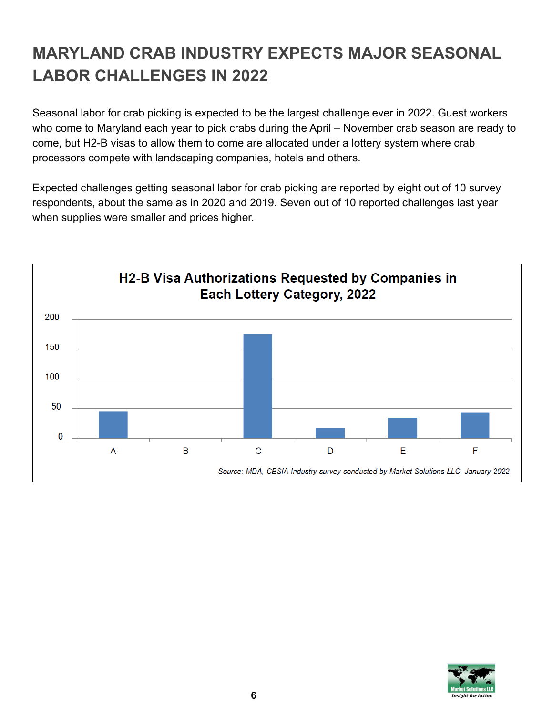# <span id="page-5-0"></span>**MARYLAND CRAB INDUSTRY EXPECTS MAJOR SEASONAL LABOR CHALLENGES IN 2022**

Seasonal labor for crab picking is expected to be the largest challenge ever in 2022. Guest workers who come to Maryland each year to pick crabs during the April – November crab season are ready to come, but H2-B visas to allow them to come are allocated under a lottery system where crab processors compete with landscaping companies, hotels and others.

Expected challenges getting seasonal labor for crab picking are reported by eight out of 10 survey respondents, about the same as in 2020 and 2019. Seven out of 10 reported challenges last year when supplies were smaller and prices higher.



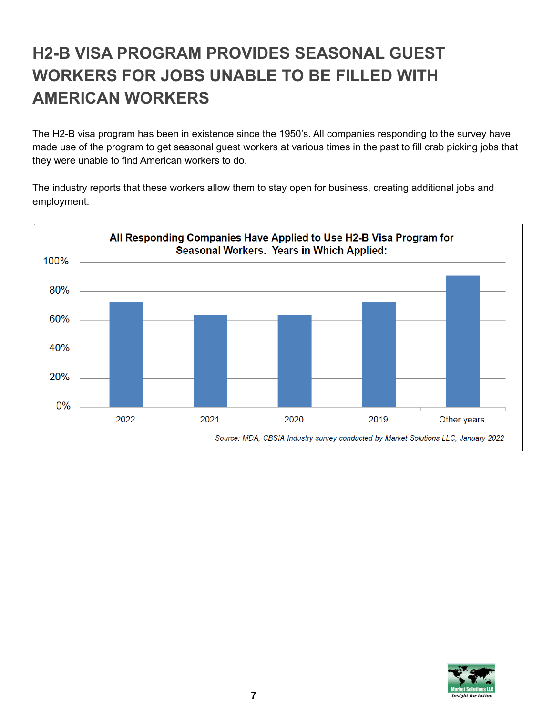# **H2-B VISA PROGRAM PROVIDES SEASONAL GUEST WORKERS FOR JOBS UNABLE TO BE FILLED WITH AMERICAN WORKERS**

<span id="page-6-0"></span>The H2-B visa program has been in existence since the 1950's. All companies responding to the survey have made use of the program to get seasonal guest workers at various times in the past to fill crab picking jobs that they were unable to find American workers to do.

The industry reports that these workers allow them to stay open for business, creating additional jobs and employment.



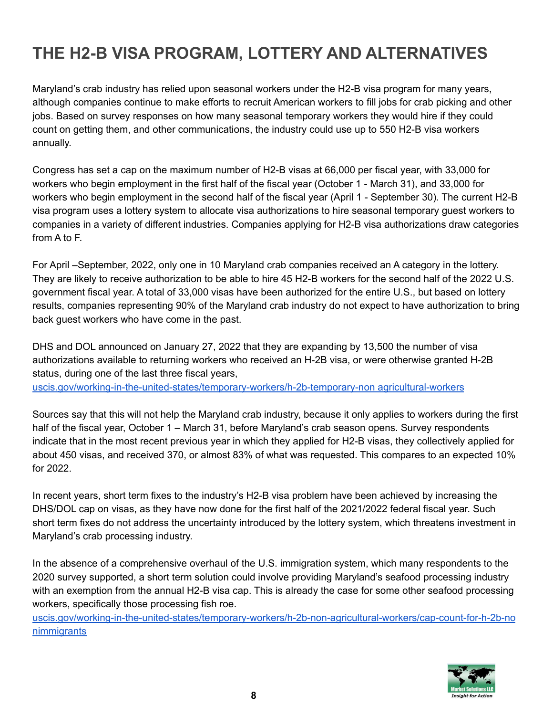### <span id="page-7-0"></span>**THE H2-B VISA PROGRAM, LOTTERY AND ALTERNATIVES**

Maryland's crab industry has relied upon seasonal workers under the H2-B visa program for many years, although companies continue to make efforts to recruit American workers to fill jobs for crab picking and other jobs. Based on survey responses on how many seasonal temporary workers they would hire if they could count on getting them, and other communications, the industry could use up to 550 H2-B visa workers annually.

Congress has set a cap on the maximum number of H2-B visas at 66,000 per fiscal year, with 33,000 for workers who begin employment in the first half of the fiscal year (October 1 - March 31), and 33,000 for workers who begin employment in the second half of the fiscal year (April 1 - September 30). The current H2-B visa program uses a lottery system to allocate visa authorizations to hire seasonal temporary guest workers to companies in a variety of different industries. Companies applying for H2-B visa authorizations draw categories from A to F.

For April –September, 2022, only one in 10 Maryland crab companies received an A category in the lottery. They are likely to receive authorization to be able to hire 45 H2-B workers for the second half of the 2022 U.S. government fiscal year. A total of 33,000 visas have been authorized for the entire U.S., but based on lottery results, companies representing 90% of the Maryland crab industry do not expect to have authorization to bring back guest workers who have come in the past.

DHS and DOL announced on January 27, 2022 that they are expanding by 13,500 the number of visa authorizations available to returning workers who received an H-2B visa, or were otherwise granted H-2B status, during one of the last three fiscal years,

[uscis.gov/working-in-the-united-states/temporary-workers/h-2b-temporary-non](http://uscis.gov/working-in-the-united-states/temporary-workers/h-2b-temporary-non%20agricultural-workers) agricultural-workers

Sources say that this will not help the Maryland crab industry, because it only applies to workers during the first half of the fiscal year, October 1 – March 31, before Maryland's crab season opens. Survey respondents indicate that in the most recent previous year in which they applied for H2-B visas, they collectively applied for about 450 visas, and received 370, or almost 83% of what was requested. This compares to an expected 10% for 2022.

In recent years, short term fixes to the industry's H2-B visa problem have been achieved by increasing the DHS/DOL cap on visas, as they have now done for the first half of the 2021/2022 federal fiscal year. Such short term fixes do not address the uncertainty introduced by the lottery system, which threatens investment in Maryland's crab processing industry.

In the absence of a comprehensive overhaul of the U.S. immigration system, which many respondents to the 2020 survey supported, a short term solution could involve providing Maryland's seafood processing industry with an exemption from the annual H2-B visa cap. This is already the case for some other seafood processing workers, specifically those processing fish roe.

[uscis.gov/working-in-the-united-states/temporary-workers/h-2b-non-agricultural-workers/cap-count-for-h-2b-no](http://uscis.gov/working-in-the-united-states/temporary-workers/h-2b-non-agricultural-workers/cap-count-for-h-2b-nonimmigrants) [nimmigrants](http://uscis.gov/working-in-the-united-states/temporary-workers/h-2b-non-agricultural-workers/cap-count-for-h-2b-nonimmigrants)

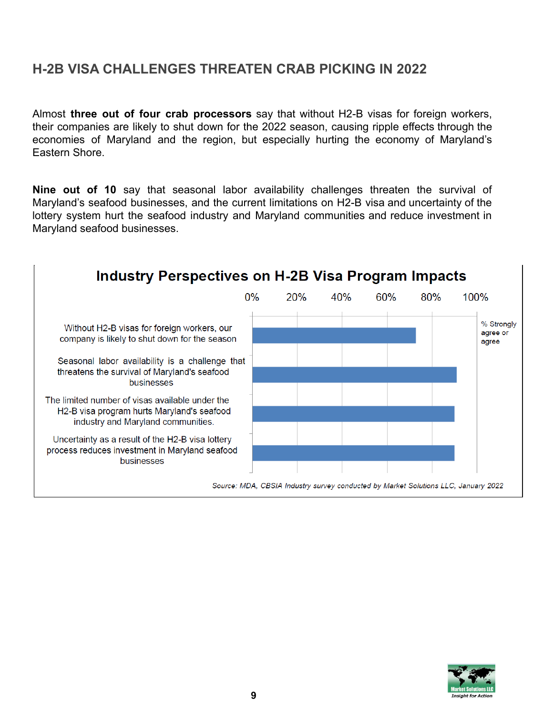#### <span id="page-8-0"></span>**H-2B VISA CHALLENGES THREATEN CRAB PICKING IN 2022**

Almost **three out of four crab processors** say that without H2-B visas for foreign workers, their companies are likely to shut down for the 2022 season, causing ripple effects through the economies of Maryland and the region, but especially hurting the economy of Maryland's Eastern Shore.

**Nine out of 10** say that seasonal labor availability challenges threaten the survival of Maryland's seafood businesses, and the current limitations on H2-B visa and uncertainty of the lottery system hurt the seafood industry and Maryland communities and reduce investment in Maryland seafood businesses.



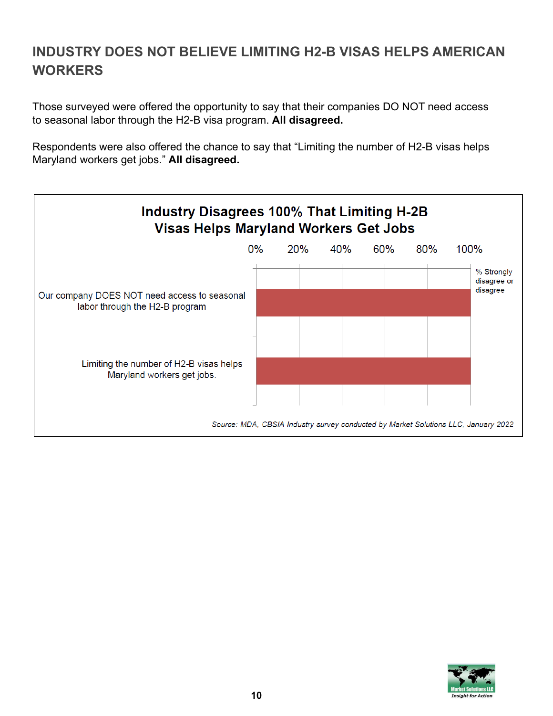#### <span id="page-9-0"></span>**INDUSTRY DOES NOT BELIEVE LIMITING H2-B VISAS HELPS AMERICAN WORKERS**

Those surveyed were offered the opportunity to say that their companies DO NOT need access to seasonal labor through the H2-B visa program. **All disagreed.**

Respondents were also offered the chance to say that "Limiting the number of H2-B visas helps Maryland workers get jobs." **All disagreed.**



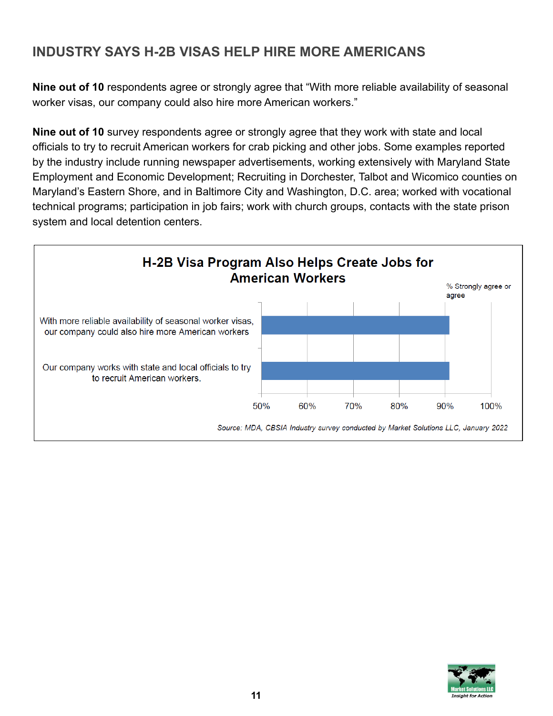#### <span id="page-10-0"></span>**INDUSTRY SAYS H-2B VISAS HELP HIRE MORE AMERICANS**

**Nine out of 10** respondents agree or strongly agree that "With more reliable availability of seasonal worker visas, our company could also hire more American workers."

**Nine out of 10** survey respondents agree or strongly agree that they work with state and local officials to try to recruit American workers for crab picking and other jobs. Some examples reported by the industry include running newspaper advertisements, working extensively with Maryland State Employment and Economic Development; Recruiting in Dorchester, Talbot and Wicomico counties on Maryland's Eastern Shore, and in Baltimore City and Washington, D.C. area; worked with vocational technical programs; participation in job fairs; work with church groups, contacts with the state prison system and local detention centers.



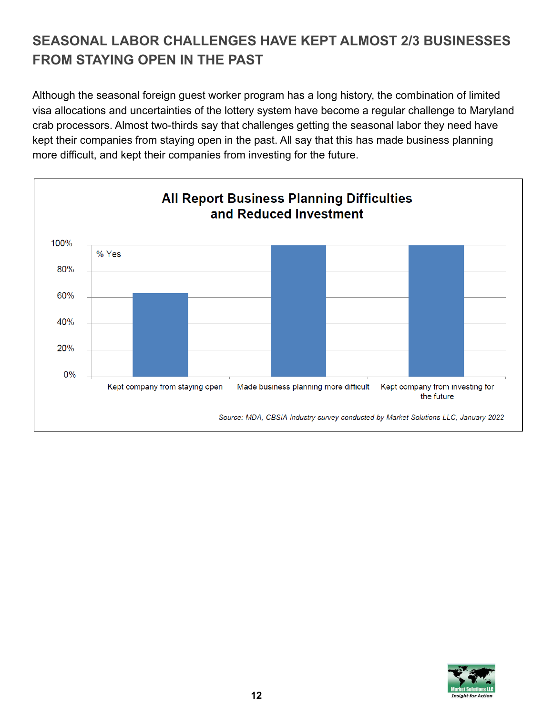### <span id="page-11-0"></span>**SEASONAL LABOR CHALLENGES HAVE KEPT ALMOST 2/3 BUSINESSES FROM STAYING OPEN IN THE PAST**

Although the seasonal foreign guest worker program has a long history, the combination of limited visa allocations and uncertainties of the lottery system have become a regular challenge to Maryland crab processors. Almost two-thirds say that challenges getting the seasonal labor they need have kept their companies from staying open in the past. All say that this has made business planning more difficult, and kept their companies from investing for the future.



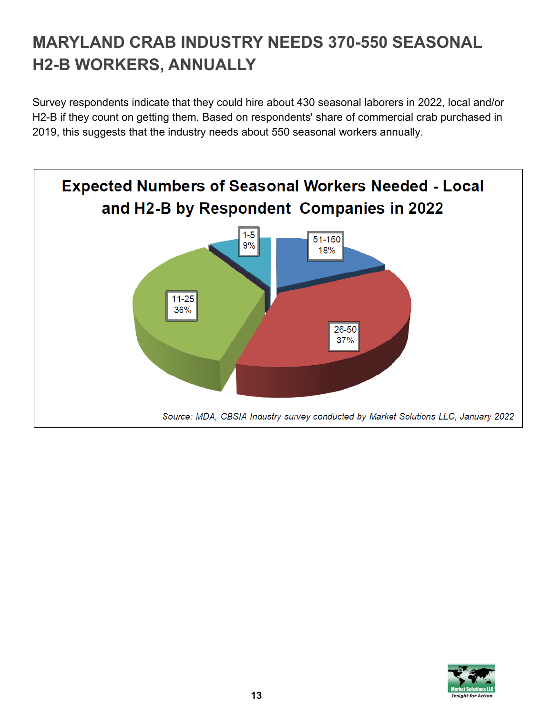# <span id="page-12-0"></span>**MARYLAND CRAB INDUSTRY NEEDS 370-550 SEASONAL H2-B WORKERS, ANNUALLY**

Survey respondents indicate that they could hire about 430 seasonal laborers in 2022, local and/or H2-B if they count on getting them. Based on respondents' share of commercial crab purchased in 2019, this suggests that the industry needs about 550 seasonal workers annually.



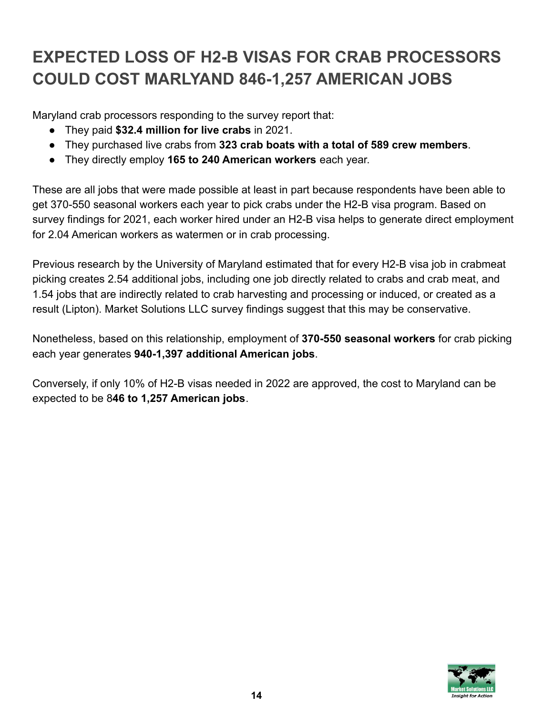# <span id="page-13-0"></span>**EXPECTED LOSS OF H2-B VISAS FOR CRAB PROCESSORS COULD COST MARLYAND 846-1,257 AMERICAN JOBS**

Maryland crab processors responding to the survey report that:

- They paid **\$32.4 million for live crabs** in 2021.
- They purchased live crabs from **323 crab boats with a total of 589 crew members**.
- They directly employ **165 to 240 American workers** each year.

These are all jobs that were made possible at least in part because respondents have been able to get 370-550 seasonal workers each year to pick crabs under the H2-B visa program. Based on survey findings for 2021, each worker hired under an H2-B visa helps to generate direct employment for 2.04 American workers as watermen or in crab processing.

Previous research by the University of Maryland estimated that for every H2-B visa job in crabmeat picking creates 2.54 additional jobs, including one job directly related to crabs and crab meat, and 1.54 jobs that are indirectly related to crab harvesting and processing or induced, or created as a result (Lipton). Market Solutions LLC survey findings suggest that this may be conservative.

Nonetheless, based on this relationship, employment of **370-550 seasonal workers** for crab picking each year generates **940-1,397 additional American jobs**.

Conversely, if only 10% of H2-B visas needed in 2022 are approved, the cost to Maryland can be expected to be 8**46 to 1,257 American jobs**.

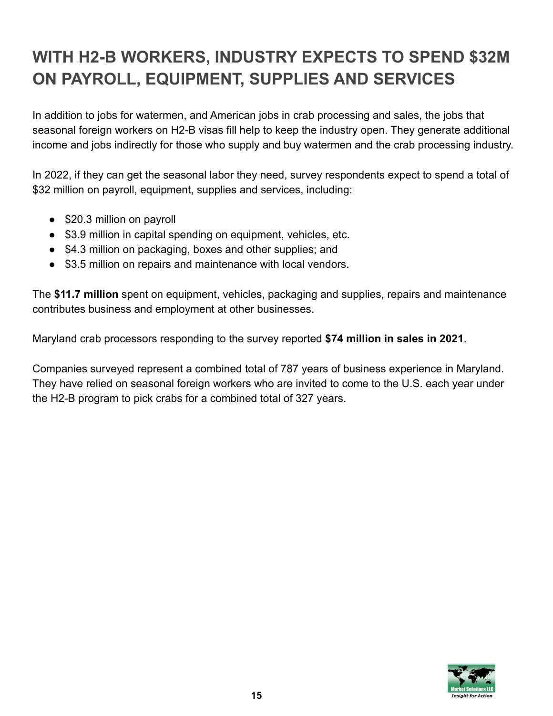# <span id="page-14-0"></span>**WITH H2-B WORKERS, INDUSTRY EXPECTS TO SPEND \$32M ON PAYROLL, EQUIPMENT, SUPPLIES AND SERVICES**

In addition to jobs for watermen, and American jobs in crab processing and sales, the jobs that seasonal foreign workers on H2-B visas fill help to keep the industry open. They generate additional income and jobs indirectly for those who supply and buy watermen and the crab processing industry.

In 2022, if they can get the seasonal labor they need, survey respondents expect to spend a total of \$32 million on payroll, equipment, supplies and services, including:

- \$20.3 million on payroll
- \$3.9 million in capital spending on equipment, vehicles, etc.
- \$4.3 million on packaging, boxes and other supplies; and
- \$3.5 million on repairs and maintenance with local vendors.

The **\$11.7 million** spent on equipment, vehicles, packaging and supplies, repairs and maintenance contributes business and employment at other businesses.

Maryland crab processors responding to the survey reported **\$74 million in sales in 2021**.

Companies surveyed represent a combined total of 787 years of business experience in Maryland. They have relied on seasonal foreign workers who are invited to come to the U.S. each year under the H2-B program to pick crabs for a combined total of 327 years.

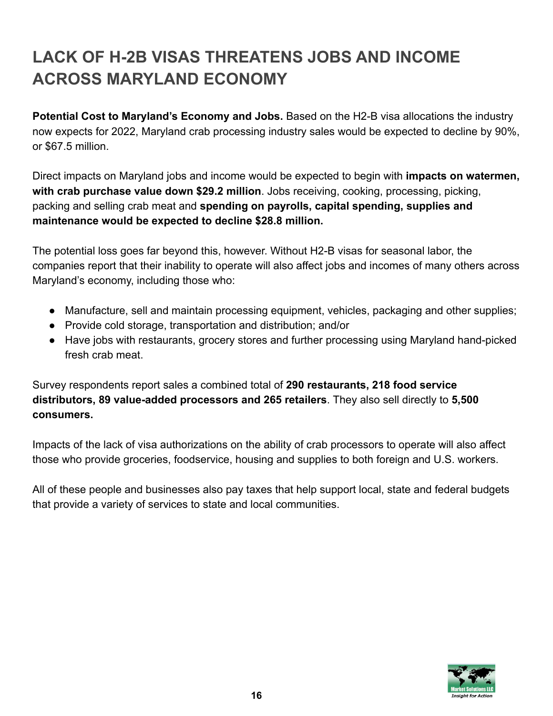# <span id="page-15-0"></span>**LACK OF H-2B VISAS THREATENS JOBS AND INCOME ACROSS MARYLAND ECONOMY**

**Potential Cost to Maryland's Economy and Jobs.** Based on the H2-B visa allocations the industry now expects for 2022, Maryland crab processing industry sales would be expected to decline by 90%, or \$67.5 million.

Direct impacts on Maryland jobs and income would be expected to begin with **impacts on watermen, with crab purchase value down \$29.2 million**. Jobs receiving, cooking, processing, picking, packing and selling crab meat and **spending on payrolls, capital spending, supplies and maintenance would be expected to decline \$28.8 million.**

The potential loss goes far beyond this, however. Without H2-B visas for seasonal labor, the companies report that their inability to operate will also affect jobs and incomes of many others across Maryland's economy, including those who:

- Manufacture, sell and maintain processing equipment, vehicles, packaging and other supplies;
- Provide cold storage, transportation and distribution; and/or
- Have jobs with restaurants, grocery stores and further processing using Maryland hand-picked fresh crab meat.

Survey respondents report sales a combined total of **290 restaurants, 218 food service distributors, 89 value-added processors and 265 retailers**. They also sell directly to **5,500 consumers.**

Impacts of the lack of visa authorizations on the ability of crab processors to operate will also affect those who provide groceries, foodservice, housing and supplies to both foreign and U.S. workers.

All of these people and businesses also pay taxes that help support local, state and federal budgets that provide a variety of services to state and local communities.

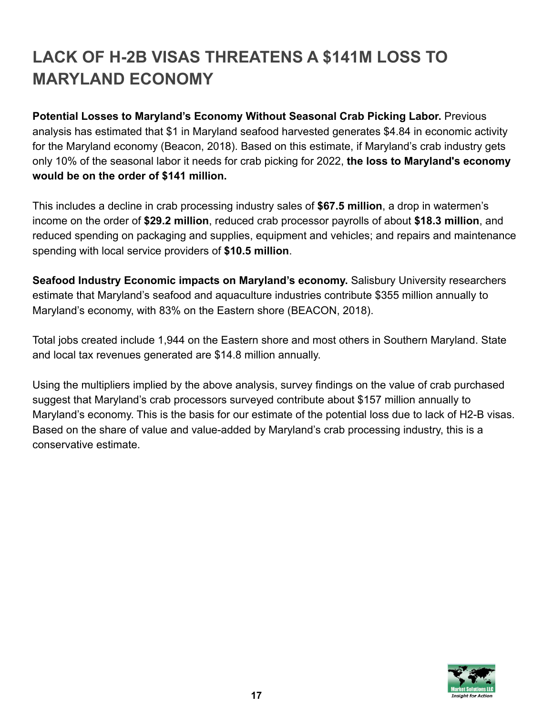# <span id="page-16-0"></span>**LACK OF H-2B VISAS THREATENS A \$141M LOSS TO MARYLAND ECONOMY**

**Potential Losses to Maryland's Economy Without Seasonal Crab Picking Labor.** Previous analysis has estimated that \$1 in Maryland seafood harvested generates \$4.84 in economic activity for the Maryland economy (Beacon, 2018). Based on this estimate, if Maryland's crab industry gets only 10% of the seasonal labor it needs for crab picking for 2022, **the loss to Maryland's economy would be on the order of \$141 million.**

This includes a decline in crab processing industry sales of **\$67.5 million**, a drop in watermen's income on the order of **\$29.2 million**, reduced crab processor payrolls of about **\$18.3 million**, and reduced spending on packaging and supplies, equipment and vehicles; and repairs and maintenance spending with local service providers of **\$10.5 million**.

**Seafood Industry Economic impacts on Maryland's economy.** Salisbury University researchers estimate that Maryland's seafood and aquaculture industries contribute \$355 million annually to Maryland's economy, with 83% on the Eastern shore (BEACON, 2018).

Total jobs created include 1,944 on the Eastern shore and most others in Southern Maryland. State and local tax revenues generated are \$14.8 million annually.

Using the multipliers implied by the above analysis, survey findings on the value of crab purchased suggest that Maryland's crab processors surveyed contribute about \$157 million annually to Maryland's economy. This is the basis for our estimate of the potential loss due to lack of H2-B visas. Based on the share of value and value-added by Maryland's crab processing industry, this is a conservative estimate.

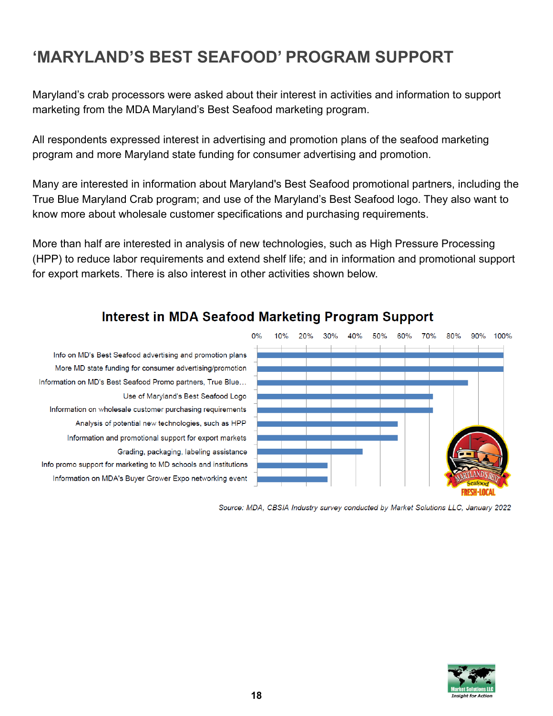### <span id="page-17-0"></span>**'MARYLAND'S BEST SEAFOOD' PROGRAM SUPPORT**

Maryland's crab processors were asked about their interest in activities and information to support marketing from the MDA Maryland's Best Seafood marketing program.

All respondents expressed interest in advertising and promotion plans of the seafood marketing program and more Maryland state funding for consumer advertising and promotion.

Many are interested in information about Maryland's Best Seafood promotional partners, including the True Blue Maryland Crab program; and use of the Maryland's Best Seafood logo. They also want to know more about wholesale customer specifications and purchasing requirements.

More than half are interested in analysis of new technologies, such as High Pressure Processing (HPP) to reduce labor requirements and extend shelf life; and in information and promotional support for export markets. There is also interest in other activities shown below.



#### **Interest in MDA Seafood Marketing Program Support**

Information on MD's Best Seafood Promo partners, True Blue...

Source: MDA, CBSIA Industry survey conducted by Market Solutions LLC, January 2022

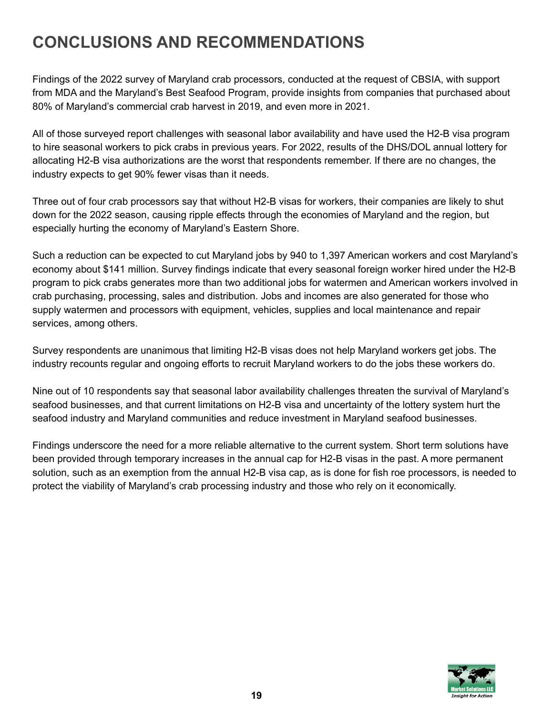## <span id="page-18-0"></span>**CONCLUSIONS AND RECOMMENDATIONS**

Findings of the 2022 survey of Maryland crab processors, conducted at the request of CBSIA, with support from MDA and the Maryland's Best Seafood Program, provide insights from companies that purchased about 80% of Maryland's commercial crab harvest in 2019, and even more in 2021.

All of those surveyed report challenges with seasonal labor availability and have used the H2-B visa program to hire seasonal workers to pick crabs in previous years. For 2022, results of the DHS/DOL annual lottery for allocating H2-B visa authorizations are the worst that respondents remember. If there are no changes, the industry expects to get 90% fewer visas than it needs.

Three out of four crab processors say that without H2-B visas for workers, their companies are likely to shut down for the 2022 season, causing ripple effects through the economies of Maryland and the region, but especially hurting the economy of Maryland's Eastern Shore.

Such a reduction can be expected to cut Maryland jobs by 940 to 1,397 American workers and cost Maryland's economy about \$141 million. Survey findings indicate that every seasonal foreign worker hired under the H2-B program to pick crabs generates more than two additional jobs for watermen and American workers involved in crab purchasing, processing, sales and distribution. Jobs and incomes are also generated for those who supply watermen and processors with equipment, vehicles, supplies and local maintenance and repair services, among others.

Survey respondents are unanimous that limiting H2-B visas does not help Maryland workers get jobs. The industry recounts regular and ongoing efforts to recruit Maryland workers to do the jobs these workers do.

Nine out of 10 respondents say that seasonal labor availability challenges threaten the survival of Maryland's seafood businesses, and that current limitations on H2-B visa and uncertainty of the lottery system hurt the seafood industry and Maryland communities and reduce investment in Maryland seafood businesses.

Findings underscore the need for a more reliable alternative to the current system. Short term solutions have been provided through temporary increases in the annual cap for H2-B visas in the past. A more permanent solution, such as an exemption from the annual H2-B visa cap, as is done for fish roe processors, is needed to protect the viability of Maryland's crab processing industry and those who rely on it economically.

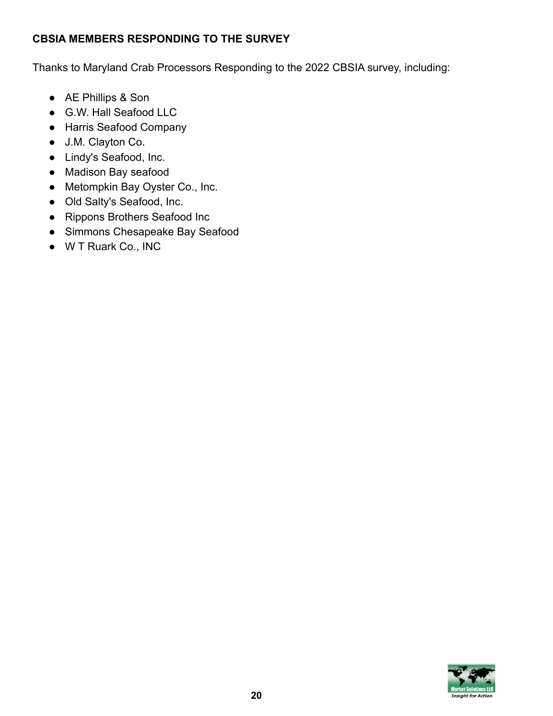#### **CBSIA MEMBERS RESPONDING TO THE SURVEY**

Thanks to Maryland Crab Processors Responding to the 2022 CBSIA survey, including:

- AE Phillips & Son
- G.W. Hall Seafood LLC
- Harris Seafood Company
- J.M. Clayton Co.
- Lindy's Seafood, Inc.
- Madison Bay seafood
- Metompkin Bay Oyster Co., Inc.
- Old Salty's Seafood, Inc.
- Rippons Brothers Seafood Inc
- Simmons Chesapeake Bay Seafood
- W T Ruark Co., INC